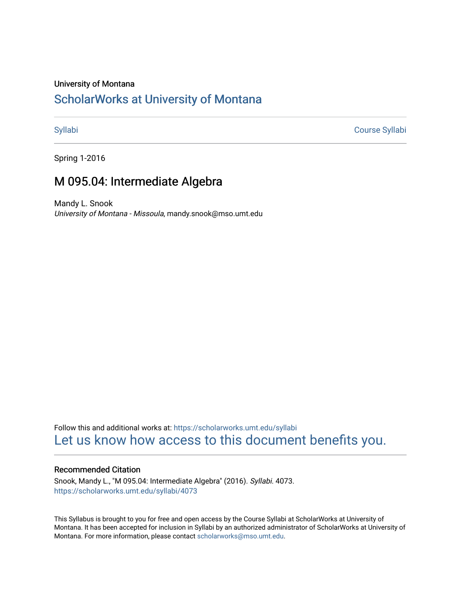#### University of Montana

# [ScholarWorks at University of Montana](https://scholarworks.umt.edu/)

[Syllabi](https://scholarworks.umt.edu/syllabi) [Course Syllabi](https://scholarworks.umt.edu/course_syllabi) 

Spring 1-2016

# M 095.04: Intermediate Algebra

Mandy L. Snook University of Montana - Missoula, mandy.snook@mso.umt.edu

Follow this and additional works at: [https://scholarworks.umt.edu/syllabi](https://scholarworks.umt.edu/syllabi?utm_source=scholarworks.umt.edu%2Fsyllabi%2F4073&utm_medium=PDF&utm_campaign=PDFCoverPages)  [Let us know how access to this document benefits you.](https://goo.gl/forms/s2rGfXOLzz71qgsB2) 

#### Recommended Citation

Snook, Mandy L., "M 095.04: Intermediate Algebra" (2016). Syllabi. 4073. [https://scholarworks.umt.edu/syllabi/4073](https://scholarworks.umt.edu/syllabi/4073?utm_source=scholarworks.umt.edu%2Fsyllabi%2F4073&utm_medium=PDF&utm_campaign=PDFCoverPages)

This Syllabus is brought to you for free and open access by the Course Syllabi at ScholarWorks at University of Montana. It has been accepted for inclusion in Syllabi by an authorized administrator of ScholarWorks at University of Montana. For more information, please contact [scholarworks@mso.umt.edu.](mailto:scholarworks@mso.umt.edu)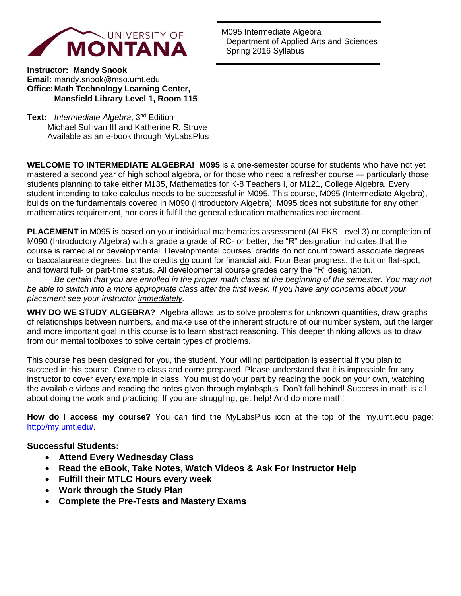

M095 Intermediate Algebra Department of Applied Arts and Sciences Spring 2016 Syllabus

**Instructor: Mandy Snook Email:** mandy.snook@mso.umt.edu **Office: Math Technology Learning Center, Mansfield Library Level 1, Room 115**

**Text:** *Intermediate Algebra*, 3nd Edition Michael Sullivan III and Katherine R. Struve Available as an e-book through MyLabsPlus

**WELCOME TO INTERMEDIATE ALGEBRA! M095** is a one-semester course for students who have not yet mastered a second year of high school algebra, or for those who need a refresher course — particularly those students planning to take either M135, Mathematics for K-8 Teachers I, or M121, College Algebra. Every student intending to take calculus needs to be successful in M095. This course, M095 (Intermediate Algebra), builds on the fundamentals covered in M090 (Introductory Algebra). M095 does not substitute for any other mathematics requirement, nor does it fulfill the general education mathematics requirement.

**PLACEMENT** in M095 is based on your individual mathematics assessment (ALEKS Level 3) or completion of M090 (Introductory Algebra) with a grade a grade of RC- or better; the "R" designation indicates that the course is remedial or developmental. Developmental courses' credits do not count toward associate degrees or baccalaureate degrees, but the credits do count for financial aid, Four Bear progress, the tuition flat-spot, and toward full- or part-time status. All developmental course grades carry the "R" designation.

 *Be certain that you are enrolled in the proper math class at the beginning of the semester. You may not be able to switch into a more appropriate class after the first week. If you have any concerns about your placement see your instructor immediately.* 

**WHY DO WE STUDY ALGEBRA?** Algebra allows us to solve problems for unknown quantities, draw graphs of relationships between numbers, and make use of the inherent structure of our number system, but the larger and more important goal in this course is to learn abstract reasoning. This deeper thinking allows us to draw from our mental toolboxes to solve certain types of problems.

This course has been designed for you, the student. Your willing participation is essential if you plan to succeed in this course. Come to class and come prepared. Please understand that it is impossible for any instructor to cover every example in class. You must do your part by reading the book on your own, watching the available videos and reading the notes given through mylabsplus. Don't fall behind! Success in math is all about doing the work and practicing. If you are struggling, get help! And do more math!

**How do I access my course?** You can find the MyLabsPlus icon at the top of the my.umt.edu page: [http://my.umt.edu/.](http://my.umt.edu/)

## **Successful Students:**

- **Attend Every Wednesday Class**
- **Read the eBook, Take Notes, Watch Videos & Ask For Instructor Help**
- **Fulfill their MTLC Hours every week**
- **Work through the Study Plan**
- **Complete the Pre-Tests and Mastery Exams**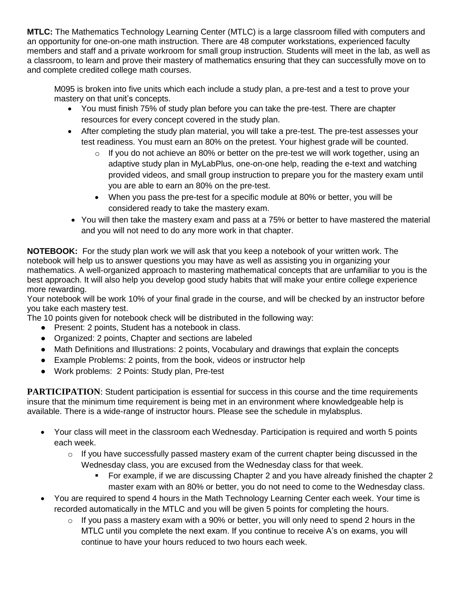**MTLC:** The Mathematics Technology Learning Center (MTLC) is a large classroom filled with computers and an opportunity for one-on-one math instruction. There are 48 computer workstations, experienced faculty members and staff and a private workroom for small group instruction. Students will meet in the lab, as well as a classroom, to learn and prove their mastery of mathematics ensuring that they can successfully move on to and complete credited college math courses.

M095 is broken into five units which each include a study plan, a pre-test and a test to prove your mastery on that unit's concepts.

- You must finish 75% of study plan before you can take the pre-test. There are chapter resources for every concept covered in the study plan.
- After completing the study plan material, you will take a pre-test. The pre-test assesses your test readiness. You must earn an 80% on the pretest. Your highest grade will be counted.
	- $\circ$  If you do not achieve an 80% or better on the pre-test we will work together, using an adaptive study plan in MyLabPlus, one-on-one help, reading the e-text and watching provided videos, and small group instruction to prepare you for the mastery exam until you are able to earn an 80% on the pre-test.
	- When you pass the pre-test for a specific module at 80% or better, you will be considered ready to take the mastery exam.
- You will then take the mastery exam and pass at a 75% or better to have mastered the material and you will not need to do any more work in that chapter.

**NOTEBOOK:** For the study plan work we will ask that you keep a notebook of your written work. The notebook will help us to answer questions you may have as well as assisting you in organizing your mathematics. A well-organized approach to mastering mathematical concepts that are unfamiliar to you is the best approach. It will also help you develop good study habits that will make your entire college experience more rewarding.

Your notebook will be work 10% of your final grade in the course, and will be checked by an instructor before you take each mastery test.

The 10 points given for notebook check will be distributed in the following way:

- Present: 2 points, Student has a notebook in class.
- Organized: 2 points, Chapter and sections are labeled
- Math Definitions and Illustrations: 2 points, Vocabulary and drawings that explain the concepts
- Example Problems: 2 points, from the book, videos or instructor help
- Work problems: 2 Points: Study plan, Pre-test

**PARTICIPATION:** Student participation is essential for success in this course and the time requirements insure that the minimum time requirement is being met in an environment where knowledgeable help is available. There is a wide-range of instructor hours. Please see the schedule in mylabsplus.

- Your class will meet in the classroom each Wednesday. Participation is required and worth 5 points each week.
	- o If you have successfully passed mastery exam of the current chapter being discussed in the Wednesday class, you are excused from the Wednesday class for that week.
		- For example, if we are discussing Chapter 2 and you have already finished the chapter 2 master exam with an 80% or better, you do not need to come to the Wednesday class.
- You are required to spend 4 hours in the Math Technology Learning Center each week. Your time is recorded automatically in the MTLC and you will be given 5 points for completing the hours.
	- $\circ$  If you pass a mastery exam with a 90% or better, you will only need to spend 2 hours in the MTLC until you complete the next exam. If you continue to receive A's on exams, you will continue to have your hours reduced to two hours each week.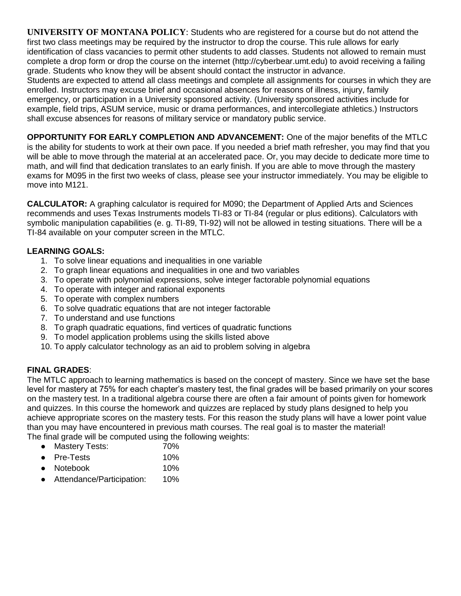**UNIVERSITY OF MONTANA POLICY**: Students who are registered for a course but do not attend the first two class meetings may be required by the instructor to drop the course. This rule allows for early identification of class vacancies to permit other students to add classes. Students not allowed to remain must complete a drop form or drop the course on the internet (http://cyberbear.umt.edu) to avoid receiving a failing grade. Students who know they will be absent should contact the instructor in advance.

Students are expected to attend all class meetings and complete all assignments for courses in which they are enrolled. Instructors may excuse brief and occasional absences for reasons of illness, injury, family emergency, or participation in a University sponsored activity. (University sponsored activities include for example, field trips, ASUM service, music or drama performances, and intercollegiate athletics.) Instructors shall excuse absences for reasons of military service or mandatory public service.

**OPPORTUNITY FOR EARLY COMPLETION AND ADVANCEMENT:** One of the major benefits of the MTLC is the ability for students to work at their own pace. If you needed a brief math refresher, you may find that you will be able to move through the material at an accelerated pace. Or, you may decide to dedicate more time to math, and will find that dedication translates to an early finish. If you are able to move through the mastery exams for M095 in the first two weeks of class, please see your instructor immediately. You may be eligible to move into M121.

**CALCULATOR:** A graphing calculator is required for M090; the Department of Applied Arts and Sciences recommends and uses Texas Instruments models TI-83 or TI-84 (regular or plus editions). Calculators with symbolic manipulation capabilities (e. g. TI-89, TI-92) will not be allowed in testing situations. There will be a TI-84 available on your computer screen in the MTLC.

# **LEARNING GOALS:**

- 1. To solve linear equations and inequalities in one variable
- 2. To graph linear equations and inequalities in one and two variables
- 3. To operate with polynomial expressions, solve integer factorable polynomial equations
- 4. To operate with integer and rational exponents
- 5. To operate with complex numbers
- 6. To solve quadratic equations that are not integer factorable
- 7. To understand and use functions
- 8. To graph quadratic equations, find vertices of quadratic functions
- 9. To model application problems using the skills listed above
- 10. To apply calculator technology as an aid to problem solving in algebra

## **FINAL GRADES**:

The MTLC approach to learning mathematics is based on the concept of mastery. Since we have set the base level for mastery at 75% for each chapter's mastery test, the final grades will be based primarily on your scores on the mastery test. In a traditional algebra course there are often a fair amount of points given for homework and quizzes. In this course the homework and quizzes are replaced by study plans designed to help you achieve appropriate scores on the mastery tests. For this reason the study plans will have a lower point value than you may have encountered in previous math courses. The real goal is to master the material! The final grade will be computed using the following weights:

- Mastery Tests: 70%
- Pre-Tests 10%
- Notebook 10%
- Attendance/Participation: 10%